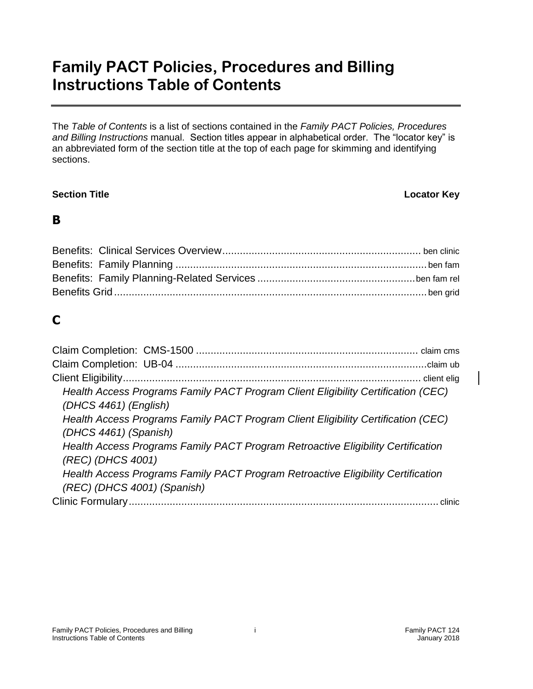# **Family PACT Policies, Procedures and Billing Instructions Table of Contents**

The *Table of Contents* is a list of sections contained in the *Family PACT Policies, Procedures and Billing Instructions* manual.Section titles appear in alphabetical order. The "locator key" is an abbreviated form of the section title at the top of each page for skimming and identifying sections.

### **Section Title Locator Key**

### **B**

## **C**

| Health Access Programs Family PACT Program Client Eligibility Certification (CEC) |
|-----------------------------------------------------------------------------------|
| (DHCS 4461) (English)                                                             |
| Health Access Programs Family PACT Program Client Eligibility Certification (CEC) |
| (DHCS 4461) (Spanish)                                                             |
| Health Access Programs Family PACT Program Retroactive Eligibility Certification  |
| (REC) (DHCS 4001)                                                                 |
| Health Access Programs Family PACT Program Retroactive Eligibility Certification  |
| (REC) (DHCS 4001) (Spanish)                                                       |
|                                                                                   |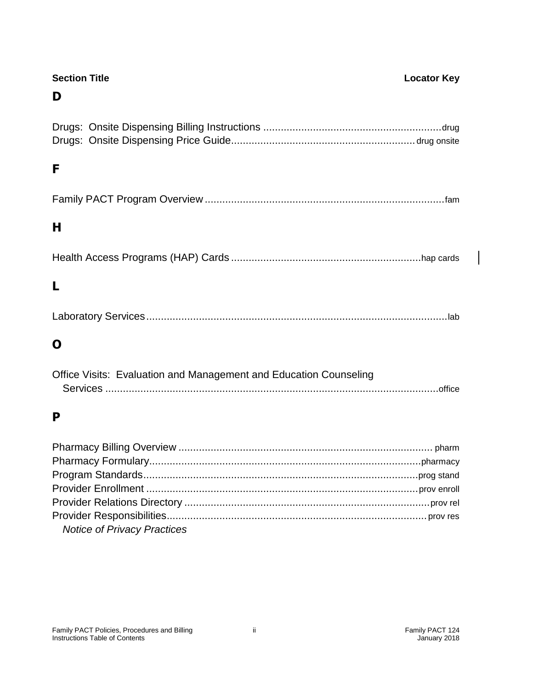| <b>Section Title</b><br>D                                         | <b>Locator Key</b> |
|-------------------------------------------------------------------|--------------------|
|                                                                   |                    |
| F                                                                 |                    |
|                                                                   |                    |
| н                                                                 |                    |
|                                                                   |                    |
| L                                                                 |                    |
|                                                                   |                    |
| O                                                                 |                    |
| Office Visits: Evaluation and Management and Education Counseling |                    |
| P                                                                 |                    |
|                                                                   |                    |
|                                                                   |                    |
|                                                                   |                    |
|                                                                   |                    |
|                                                                   |                    |
|                                                                   |                    |

*Notice of Privacy Practices*